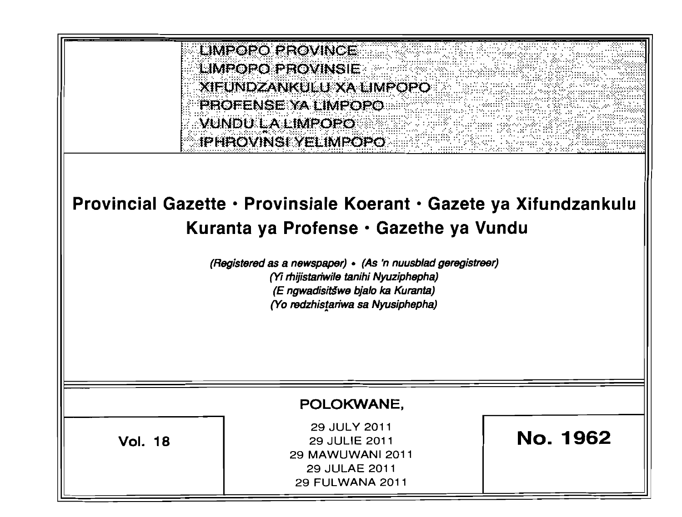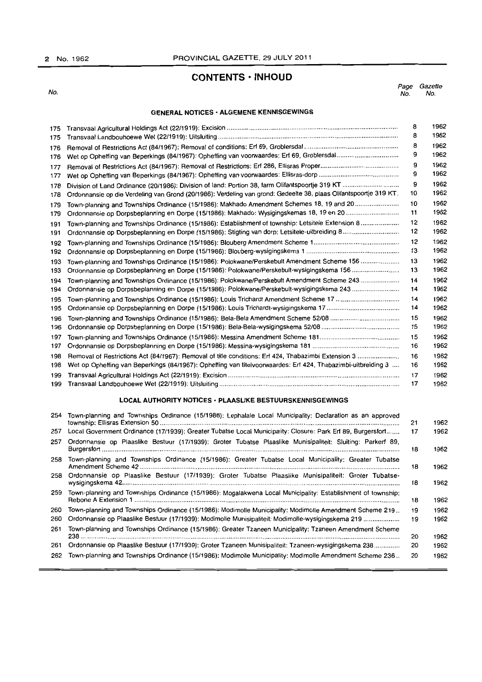# 2 No. 1962 PROVINCIAL GAZETTE, 29 JULY 2011

# **CONTENTS· INHOUD**

No. *Page Gazette*  No. No.

# **GENERAL NOTICES· ALGEMENE KENNISGEWINGS**

| 175 |                                                                                                                   | 8  | 1962 |
|-----|-------------------------------------------------------------------------------------------------------------------|----|------|
| 175 |                                                                                                                   | 8  | 1962 |
| 176 |                                                                                                                   | 8  | 1962 |
| 176 |                                                                                                                   | 9  | 1962 |
| 177 |                                                                                                                   | 9  | 1962 |
| 177 |                                                                                                                   | 9  | 1962 |
| 178 |                                                                                                                   | 9  | 1962 |
| 178 | Ordonnansie op die Verdeling van Grond (20/1986): Verdeling van grond: Gedeelte 38, plaas Olifantspoortje 319 KT. | 10 | 1962 |
| 179 | Town-planning and Townships Ordinance (15/1986): Makhado Amendment Schemes 18, 19 and 20                          | 10 | 1962 |
| 179 |                                                                                                                   | 11 | 1962 |
| 191 | Town-planning and Townships Ordinance (15/1986): Establishment of township: Letsitele Extension 8                 | 12 | 1962 |
| 191 |                                                                                                                   | 12 | 1962 |
| 192 |                                                                                                                   | 12 | 1962 |
| 192 |                                                                                                                   | 13 | 1962 |
| 193 | Town-planning and Townships Ordinance (15/1986): Polokwane/Perskebult Amendment Scheme 156                        | 13 | 1962 |
| 193 | Ordonnansie op Dorpsbeplanning en Dorpe (15/1986): Polokwane/Perskebult-wysigingskema 156                         | 13 | 1962 |
| 194 | Town-planning and Townships Ordinance (15/1986): Polokwane/Perskebult Amendment Scheme 243                        | 14 | 1962 |
| 194 | Ordonnansie op Dorpsbeplanning en Dorpe (15/1986): Polokwane/Perskebult-wysigingskema 243                         | 14 | 1962 |
| 195 |                                                                                                                   | 14 | 1962 |
| 195 |                                                                                                                   | 14 | 1962 |
| 196 |                                                                                                                   | 15 | 1962 |
| 196 |                                                                                                                   | 15 | 1962 |
| 197 |                                                                                                                   | 15 | 1962 |
| 197 |                                                                                                                   | 16 | 1962 |
| 198 | Removal of Restrictions Act (84/1967): Removal of title conditions: Erf 424, Thabazimbi Extension 3               | 16 | 1962 |
| 198 | Wet op Opheffing van Beperkings (84/1967): Opheffing van titelvoorwaardes: Erl 424, Thabazimbi-uitbreiding 3      | 16 | 1962 |
| 199 |                                                                                                                   | 17 | 1962 |
| 199 |                                                                                                                   | 17 | 1962 |
|     |                                                                                                                   |    |      |

## **LOCAL AUTHORITY NOTICES· PLAASLlKE BESTUURSKENNISGEWINGS**

| 254 | Town-planning and Townships Ordinance (15/1986): Lephalale Local Municipality: Declaration as an approved       | 21 | 1962 |
|-----|-----------------------------------------------------------------------------------------------------------------|----|------|
|     | 257 Local Government Ordinance (17/1939): Greater Tubatse Local Municipality: Closure: Park Erf 89, Burgersfort | 17 | 1962 |
| 257 | Ordonnansie op Plaaslike Bestuur (17/1939): Groter Tubatse Plaaslike Munisipaliteit: Sluiting: Parkerf 89,      | 18 | 1962 |
| 258 | Town-planning and Townships Ordinance (15/1986): Greater Tubatse Local Municipality: Greater Tubatse            | 18 | 1962 |
|     | 258 Ordonnansie op Plaaslike Bestuur (17/1939): Groter Tubatse Plaaslike Munisipaliteit: Groter Tubatse-        | 18 | 1962 |
| 259 | Town-planning and Townships Ordinance (15/1986): Mogalakwena Local Municipality: Establishment of township:     | 18 | 1962 |
| 260 | Town-planning and Townships Ordinance (15/1986): Modimolle Municipality: Modimolle Amendment Scheme 219         | 19 | 1962 |
| 260 | Ordonnansie op Plaaslike Bestuur (17/1939): Modimolle Munisipaliteit: Modimolle-wysigingskema 219               | 19 | 1962 |
| 261 | Town-planning and Townships Ordinance (15/1986): Greater Tzaneen Municipality: Tzaneen Amendment Scheme         | 20 | 1962 |
| 261 | Ordonnansie op Plaaslike Bestuur (17/1939): Groter Tzaneen Munisipaliteit: Tzaneen-wysigingskema 238            | 20 | 1962 |
| 262 | Town-planning and Townships Ordinance (15/1986): Modimolle Municipality: Modimolle Amendment Scheme 236         | 20 | 1962 |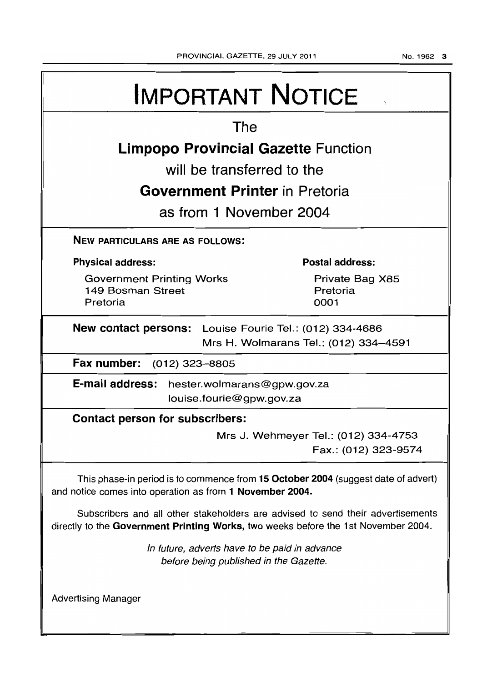# **IMPORTANT NOTICE The Limpopo Provincial Gazette Function will be transferred to the Government Printer in Pretoria as from 1 November 2004 NEW PARTICULARS ARE AS FOLLOWS: Physical address:**  Government Printing Works 149 Bosman Street Pretoria **Postal address:**  Private Bag X85 Pretoria 0001 **New contact persons:** Louise Fourie Tel.: (012) 334-4686 Mrs H. Wolmarans Tel.: (012) 334-4591 **Fax number:** (012) 323-8805 **E-mail address:** hester.wolmarans@gpw.gov.za louise.fourie@gpw.gov.za **Contact person for subscribers:**  Mrs J. Wehmeyer Tel.: (012) 334-4753 Fax.: (012) 323-9574 This phase-in period is to commence from **15 October 2004** (suggest date of advert) and notice comes into operation as from **1 November 2004.**  Subscribers and all other stakeholders are advised to send their advertisements directly to the **Government Printing Works,** two weeks before the 1 st November 2004. Advertising Manager In future, adverts have to be paid in advance before being published in the Gazette.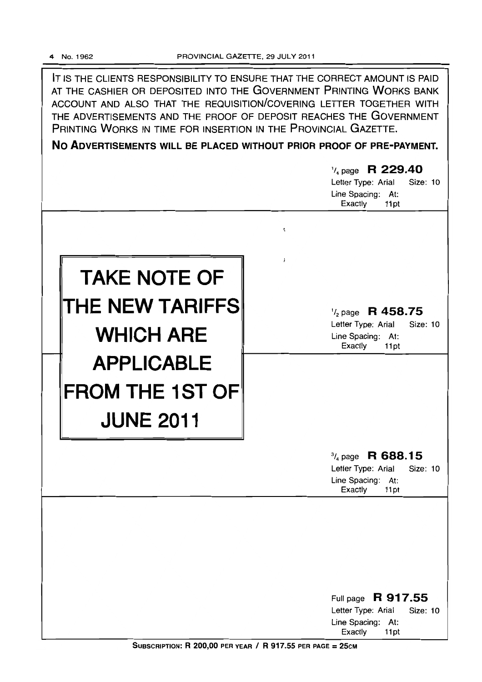IT IS THE CLIENTS RESPONSIBILITY TO ENSURE THAT THE CORRECT AMOUNT IS PAID AT THE CASHIER OR DEPOSITED INTO THE GOVERNMENT PRINTING WORKS BANK ACCOUNT AND ALSO THAT THE REQUISITION/COVERING LETTER TOGETHER WITH THE ADVERTISEMENTS AND THE PROOF OF DEPOSIT REACHES THE GOVERNMENT PRINTING WORKS IN TIME FOR INSERTION IN THE PROVINCIAL GAZETTE.

**No ADVERTISEMENTS WILL BE PLACED WITHOUT PRIOR PROOF OF PRE-PAYMENT.** 

|                        | $\frac{1}{4}$ page R 229.40<br>Letter Type: Arial<br>Size: 10<br>Line Spacing: At:<br>Exactly<br>11pt  |
|------------------------|--------------------------------------------------------------------------------------------------------|
| t.<br>j.               |                                                                                                        |
| <b>TAKE NOTE OF</b>    |                                                                                                        |
| THE NEW TARIFFS        | $\frac{1}{2}$ page R 458.75                                                                            |
| <b>WHICH ARE</b>       | Letter Type: Arial<br>Size: 10<br>Line Spacing: At:<br>Exactly<br>11pt                                 |
| <b>APPLICABLE</b>      |                                                                                                        |
| <b>FROM THE 1ST OF</b> |                                                                                                        |
| <b>JUNE 2011</b>       |                                                                                                        |
|                        | $\frac{3}{4}$ page R 688.15<br>Letter Type: Arial<br>Size: 10<br>Line Spacing: At:<br>Exactly<br>11pt  |
|                        |                                                                                                        |
|                        |                                                                                                        |
|                        |                                                                                                        |
|                        | Full page R 917.55<br>Letter Type: Arial<br><b>Size: 10</b><br>Line Spacing:<br>At:<br>Exactly<br>11pt |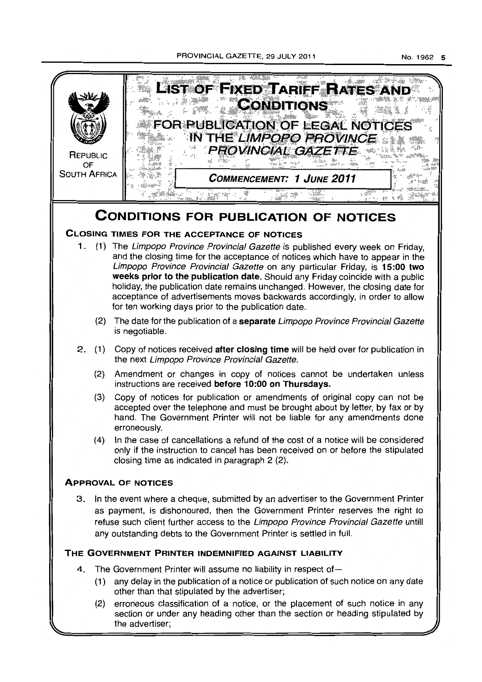

- (1) any delay in the publication of a notice or publication of such notice on any date other than that stipulated by the advertiser;
- (2) erroneous classification of a notice, or the placement of such notice in any section or under any heading other than the section or heading stipulated by the advertiser;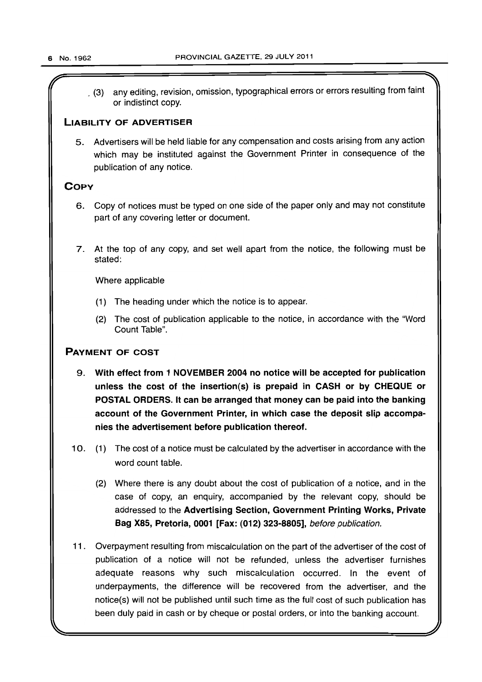$\mathcal{L}$   $\mathcal{L}$   $\mathcal{L}$   $\mathcal{L}$   $\mathcal{L}$   $\mathcal{L}$   $\mathcal{L}$   $\mathcal{L}$   $\mathcal{L}$   $\mathcal{L}$   $\mathcal{L}$   $\mathcal{L}$   $\mathcal{L}$   $\mathcal{L}$   $\mathcal{L}$   $\mathcal{L}$   $\mathcal{L}$   $\mathcal{L}$   $\mathcal{L}$   $\mathcal{L}$   $\mathcal{L}$   $\mathcal{L}$   $\mathcal{L}$   $\mathcal{L}$   $\mathcal{$ \_ (3) any editing, revision, omission, typographical errors or errors resulting from faint or indistinct copy.

# LIABILITY OF ADVERTISER

5. Advertisers will be held liable for any compensation and costs arising from any action which may be instituted against the Government Printer in consequence of the publication of any notice.

# **COPY**

- 6. Copy of notices must be typed on one side of the paper only and may not constitute part of any covering letter or document.
- 7. At the top of any copy, and set well apart from the notice, the following must be stated:

Where applicable

- (1) The heading under which the notice is to appear.
- (2) The cost of publication applicable to the notice, in accordance with the "Word Count Table".

# PAYMENT OF COST

- 9. With effect from 1 NOVEMBER 2004 no notice will be accepted for publication unless the cost of the insertion(s) is prepaid in CASH or by CHEQUE or POSTAL ORDERS. It can be arranged that money can be paid into the banking account of the Government Printer, in which case the deposit slip accompanies the advertisement before publication thereof.
- 10. (1) The cost of a notice must be calculated by the advertiser in accordance with the word count table.
	- (2) Where there is any doubt about the cost of publication of a notice, and in the case of copy, an enquiry, accompanied by the relevant copy, should be addressed to the Advertising Section, Government Printing Works, Private Bag X85, Pretoria, 0001 [Fax: (012) 323-8805], before publication.
- 11. Overpayment resulting from miscalculation on the part of the advertiser of the cost of publication of a notice will not be refunded, unless the advertiser furnishes adequate reasons why such miscalculation occurred. In the event of underpayments, the difference will be recovered from the advertiser, and the notice(s) will not be published until such time as the full cost of such publication has been duly paid in cash or by cheque or postal orders, or into the banking account.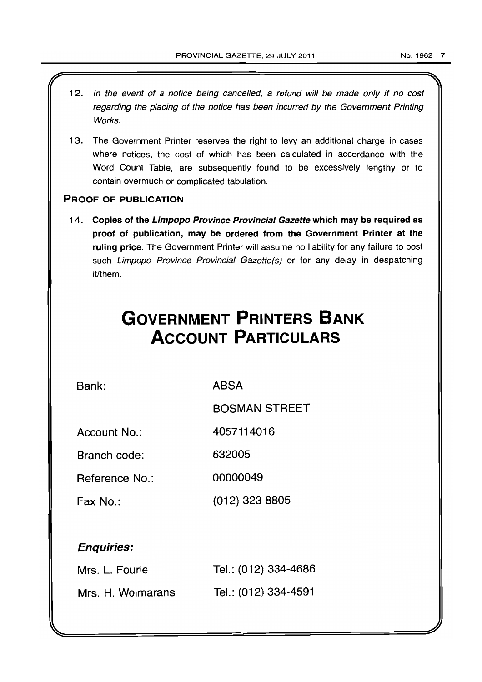12. In the event of a notice being cancelled, a refund will be made only if no cost regarding the placing of the notice has been incurred by the Government Printing Works. 13. The Government Printer reserves the right to levy an additional charge in cases where notices, the cost of which has been calculated in accordance with the Word Count Table, are subsequently found to be excessively lengthy or to contain overmuch or complicated tabulation. PROOF OF PUBLICATION 14. Copies of the Limpopo Province Provincial Gazette which may be required as proof of publication, may be ordered from the Government Printer at the ruling price. The Government Printer will assume no liability for any failure to post such Limpopo Province Provincial Gazette(s) or for any delay in despatching it/them. **GOVERNMENT PRINTERS BANK ACCOUNT PARTICULARS**  Bank: Account No.: Branch code: Reference No.: Fax No.: Enquiries: Mrs. L. Fourie Mrs. H. Wolmarans ABSA BOSMAN STREET 4057114016 632005 00000049 (012) 323 8805 Tel.: (012) 334-4686 Tel.: (012) 334-4591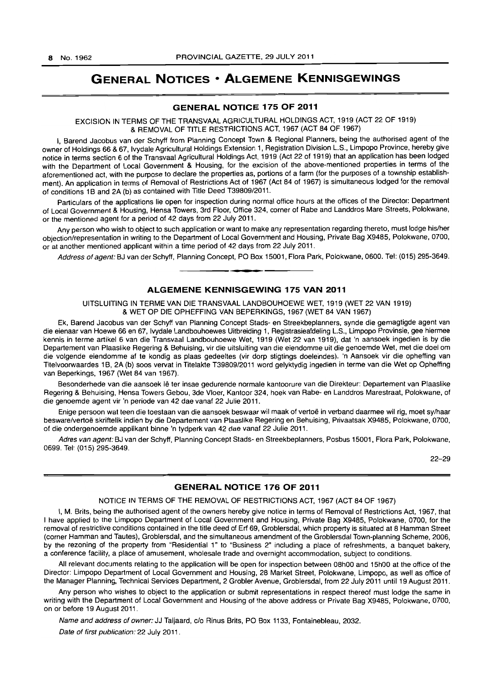# **GENERAL NOTICES • ALGEMENE KENNISGEWINGS**

## **GENERAL NOTICE 175 OF 2011**

EXCISION IN TERMS OF THE TRANSVAAL AGRICULTURAL HOLDINGS ACT, 1919 (ACT 22 OF 1919) & REMOVAL OF TITLE RESTRICTIONS ACT, 1967 (ACT 84 OF 1967)

I, Barend Jacobus van der Schyff from Planning Concept Town & Regional Planners, being the authorised agent of the owner of Holdings 66 & 67, Ivydale Agricultural Holdings Extension 1, Registration Division L.S., limpopo Province, hereby give notice in terms section 6 of the Transvaal Agricultural Holdings Act, 1919 (Act 22 of 1919) that an application has been lodged with the Department of Local Government & Housing, for the excision of the above-mentioned properties in terms of the aforementioned act, with the purpose to declare the properties as, portions of a farm (for the purposes of a township establishment). An application in terms of Removal of Restrictions Act of 1967 (Act 84 of 1967) is simultaneous lodged for the rernoval of conditions 1B and 2A (b) as contained with Title Deed T39809/2011.

Particulars of the applications lie open for inspection during normal office hours at the offices of the Director: Department of Local Government & Housing, Hensa Towers, 3rd Floor, Office 324, corner of Rabe and Landdros Mare Streets, Polokwane, or the mentioned agent for a period of 42 days from 22 July 2011.

Any person who wish to object to such application or want to make any representation regarding thereto, must lodge his/her objection/representation in writing to the Department of Local Government and Housing, Private Bag X9485, Polokwane, 0700, or at another mentioned applicant within a time period of 42 days from 22 July 2011.

Address of agent: BJ van der Schyff, Planning Concept, PO Box 15001, Flora Park, Polokwane, 0600. Tel: (015) 295-3649. **• •** 

# **ALGEMENE KENNISGEWING 175 VAN 2011**

UITSLUITING IN TERME VAN DIE TRANSVAAL LANDBOUHOEWE WET, 1919 (WET 22 VAN 1919) & WET OP DIE OPHEFFING VAN BEPERKINGS, 1967 (WET 84 VAN 1967)

Ek, Barend Jacobus van der Schyff van Planning Concept Stads- en Streekbeplanners, synde die gemagtigde agent van die eienaar van Hoewe 66 en 67, Ivydale Landbouhoewes Uitbreiding 1, Aegistrasieafdeling L.S., Limpopo Provinsie, gee hiermee kennis in terme artikel 6 van die Transvaal Landbouhoewe Wet, 1919 (Wet 22 van 1919), dat 'n aansoek ingedien is by die Departement van Plaaslike Aegering & Behuising, vir die uitsluiting van die eiendomme uit die genoemde Wet, met die doel om die volgende eiendomme af te kondig as plaas gedeeltes (vir dorp stigtings doeleindes). 'n Aansoek vir die opheffing van Tltelvoorwaardes 1B, 2A (b) soos vervat in Titelakte T39809/2011 word gelyktydig ingedien in terme van die Wet op Opheffing van Beperkings, 1967 (Wet 84 van 1967).

Besonderhede van die aansoek lê ter insae gedurende normale kantoorure van die Direkteur: Departement van Plaaslike Regering & Behuising, Hensa Towers Gebou, 3de Vloer, Kantoor 324, hoek van Rabe- en Landdros Marestraat, Polokwane, of die genoemde agent vir 'n periode van 42 dae vanaf 22 Julie 2011.

Enige persoon wat teen die toestaan van die aansoek beswaar wil maak of vertoë in verband daarmee wil rig. moet sy/haar besware/vertoe skriftelik indien by die Departement van Plaaslike Regering en Behuising, Privaatsak X9485, Polokwane, 0700, of die ondergenoemde applikant binne 'n tydperk van 42 dae vanaf 22 Julie 2011.

Adres van agent: BJ van der Schyff, Planning Concept Stads- en Streekbeplanners, Posbus 15001, Flora Park, Polokwane, 0699. Tel: (015) 295-3649.

22-29

## **GENERAL NOTICE 176 OF 2011**

## NOTICE IN TERMS OF THE REMOVAL OF RESTRICTIONS ACT, 1967 (ACT 84 OF 1967)

I, M. Brits, being the authorised agent of the owners hereby give notice in terms of Removal of Restrictions Act, 1967, that I have applied to the Limpopo Department of Local Government and Housing, Private Bag X9485, Polokwane, 0700, for the removal of restrictive conditions contained in the title deed of Erf 69, Groblersdal, which property is situated at 8 Hamman Street (corner Hamman and Tautes), Groblersdal, and the simultaneous amendment of the Groblersdal Town-planning Scheme, 2006, by the rezoning of the property from "ReSidential 1" to "Business 2" including a place of refreshments, a banquet bakery, a conference facility, a place of amusement, wholesale trade and overnight accommodation, subject to conditions.

All relevant documents relating to the application will be open for inspection between 08hOO and 15hOO at the office of the Director: Limpopo Department of Local Government and Housing, 28 Market Street, Polokwane, Limpopo, as well as office of the Manager Planning, Technical Services Department, 2 Grobler Avenue, Groblersdal, from 22 July 2011 until 19 August 2011.

Any person who wishes to object to the application or submit representations in respect thereof must lodge the same in writing with the Department of Local Government and Housing of the above address or Private Bag X9485, Polokwane, 0700, on or before 19 August 2011.

Name and address of owner: JJ Taljaard, c/o Rinus Brits, PO Box 1133, Fontainebleau, 2032.

Date of first publication: 22 July 2011.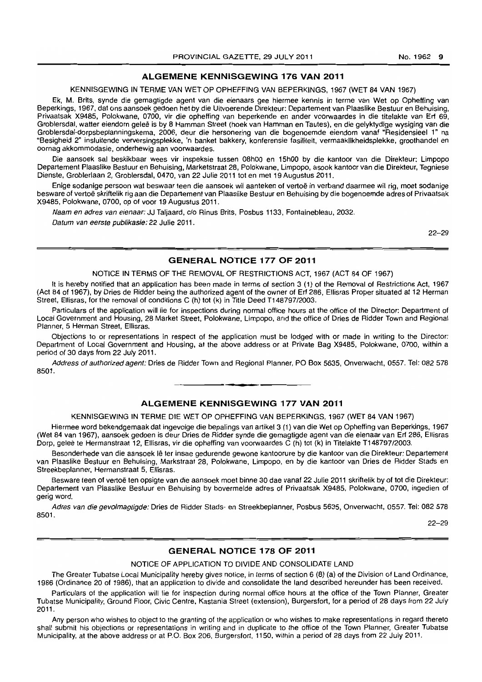## **ALGEMENE KENNISGEWING 176 VAN 2011**

#### KENNISGEWING IN TERME VAN WET OP OPHEFFING VAN BEPERKINGS, 1967 (WET 84 VAN 1967)

Ek, M. Brits, synde die gemagtigde agent van die eienaars gee hiermee kennis in terme van Wet op Opheffing van Beperkings, 1967, dat ons aansoek gedoen het by die Uitvoerende Direkteur: Departement van Plaaslike Bestuur en Behuising, Privaatsak X9485, Polokwane, 0700, vir die opheffing van beperkende en ander voorwaardes in die titelakte van Erf 69, Groblersdal, watter eiendom geleë is by 8 Hamman Street (hoek van Hamman en Tautes), en die gelyktydige wysiging van die Groblersdal-dorpsbeplanningskema, 2006, deur die hersonering van die bogenoemde eiendom vanaf "Residensieel 1" na "Besigheid 2" insluitende verversingsplekke, 'n banket bakkery, konferensie fasiliteit, vermaaklikheidsplekke, groothandel en oornag akkommodasie, onderhewig aan voorwaardes.

Die aansoek sal beskikbaar wees vir inspeksie tussen 08hOO en 15hOO by die kantoor van die Direkteur: Limpopo Departement Plaaslike Bestuur en Behuising. Marketstraat 28, Polokwane, Limpopo, asook kantoor van die Direkteur, Tegniese Dienste, Groblerlaan 2, Groblersdal, 0470, van 22 Julie 2011 tot en met 19 Augustus 2011.

Enige sodanige persoon wat beswaar teen die aansoek wil aanteken of vertoë in verband daarmee wil rig, moet sodanige besware of vertoe skriftelik rig aan die Departement van Plaaslike Bestuur en Behuising by die bogenoemde adres of Privaatsak X9485, Polokwane, 0700, op of voor 19 Augustus 2011.

Naam en adres van eienaar: JJ Taljaard, c/o Rinus Brits, Posbus 1133, Fontainebleau, 2032. Datum van eerste publikasie: 22 Julie 2011.

22-29

## **GENERAL NOTICE 177 OF 2011**

## NOTICE IN TERMS OF THE REMOVAL OF RESTRICTIONS ACT, 1967 (ACT 84 OF 1967)

It is hereby notified that an application has been made in terms of section 3 (1) of the Removal of Restrictions Act, 1967 (Act 84 of 1967), by Dries de Ridder being the authorized agent of the owner of Erf 286, Ellisras Proper situated at 12 Herman Street, Ellisras, for the removal of conditions C (h) tot (k) in Title Deed T148797/2003.

Particulars of the application will lie for inspections during normal office hours at the office of the Director: Department of Local Government and Housing, 28 Market Street, Polokwane, Limpopo, and the office of Dries de Ridder Town and Regional Planner, 5 Herman Street, Ellisras.

Objections to or representations in respect of the application must be lodged with or made in writing to the Director: Department of Local Government and Housing, at the above address or at Private Bag X9485, Polokwane, 0700, within a period of 30 days from 22 July 2011.

Address of authorized agent: Dries de Ridder Town and Regional Planner, PO Box 5635, Onverwacht, 0557. Tel: 082 578 8501.

# **ALGEMENE KENNISGEWING 177 VAN 2011**

**• •** 

#### KENNISGEWING IN TERME DIE WET OP OPHEFFING VAN BEPERKINGS, 1967 (WET 84 VAN 1967)

Hiermee word bekendgemaak dat ingevolge die bepalings van artikel 3 (1) van die Wet op Opheffing van Beperkings, 1967 (Wet 84 van 1967), aansoek gedoen is deur Dries de Ridder synde die gemagtigde agent van die eienaar van Erf 286, Ellisras Dorp, gelee te Hermanstraat 12, Ellisras, vir die opheffing van voorwaardes C (h) tot (k) in Titelakte T148797/2003.

Besonderhede van die aansoek lê ter insae gedurende gewone kantoorure by die kantoor van die Direkteur: Departement van Plaaslike Bestuur en Behuising, Markstraat 28, Polokwane, Limpopo, en by die kantoor van Dries de Ridder Steds en Streekbeplanner, Hermanstraat 5, Ellisras.

Besware teen of vertoë ten opsigte van die aansoek moet binne 30 dae vanaf 22 Julie 2011 skriftelik by of tot die Direkteur: Departement van Plaaslike Bestuur en Behuising by bovermelde adres of Privaatsak X9485, Polokwane, 0700, ingedien of gerig word.

Adres van die gevolmagtigde: Dries de Ridder Stads- en Streekbeplanner, Posbus 5635, Onverwacht, 0557. Tel: 082 578 8501.

22-29

# **GENERAL NOTICE 178 OF 2011**

#### NOTICE OF APPLICATION TO DIVIDE AND CONSOLIDATE LAND

The Greater Tubatse Local Municipality hereby gives notice, in terms of section 6 (8) (a) of the Division of Land Ordinance, 1986 (Ordinance 20 of 1986), that an application to divide and consolidate the land described hereunder has been received.

Particulars of the application will lie for inspection during normal office hours at the office of the Town Planner, Greater Tubatse Municipality, Ground Floor, Civic Centre, Kastania Street (extension), Burgersfort, for a period of 28 days from 22 July 2011.

Any person who wishes to object to the granting of the application or who wishes to make representations in regard thereto shall submit his objections or representations in writing and in duplicate to the office of the Town Planner, Greater Tubatse Municipality, at the above address or at P.O. Box 206, Burgersfort, 1150, within a period of 28 days from 22 July 2011.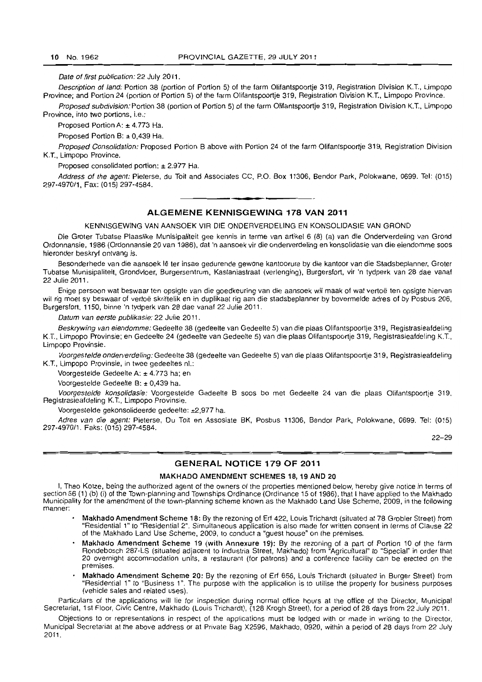Date of first publication: 22 July 2011.

Description of land: Portion 38 (portion of Portion 5) of the farm Olifantspoortje 319, Registration Division K.T., Limpopo Province; and Portion 24 (portion of Portion 5) of the farm Olifantspoortje 319, Registration Division K.T., Limpopo Province.

Proposed subdivision: Portion 38 (portion of Portion 5) of the farm Olifantspoortie 319, Registration Division K.T., Limpopo Province, into two portions, i.e.:

Proposed Portion A: ± 4.773 Ha.

Proposed Portion B: ± 0,439 Ha.

Proposed Consolidation: Proposed Portion B above with Portion 24 of the farm Olifantspoortje 319, Registration Division K.T., Limpopo Province.

Proposed consolidated portion: ± 2.977 Ha.

Address of the agent: Pieterse, du Toit and Associates CC, P.O. Box 11306, Bendor Park, Polokwane, 0699. Tel: (015) 297-497011, Fax: {015} 297-4584. . **-.** 

## **ALGEMENE KENNISGEWING 178 VAN 2011**

KENNISGEWING VAN AANSOEK VIR DIE ONDERVERDELING EN KONSOLIDASIE VAN GROND

Die Groter Tubatse Plaaslike Munisipaliteit gee kennis in terme van artikel 6 (8) (a) van die Onderverdeling van Grond Ordonnansie. 1986 (Ordonnansie 20 van 1986), dat 'n aansoek vir die onderverdeling en konsolidasie van die eiendomme soos hieronder beskryf ontvang is.

Besonderhede van die aansoek lê ter insae gedurende gewone kantoorure by die kantoor van die Stadsbeplanner, Groter Tubatse Munisipaliteit, Grondvloer, Burgersentrum, Kastaniastraat (verlenging). Burgersfort, vir 'n tydperk van 28 dae vanaf 22 Julie 2011 .

Enige persoon wat beswaar ten opsigte van die goedkeuring van die aansoek wil maak of wat vertoë ten opsigte hiervan wit rig moet sy beswaar of vertoe skriftelik en in duplikaat rig aan die stadsbeplanner by bovermelde adres of by Posbus 206, Burgersfort, 1150, binne 'n tydperk van 28 dae vanaf 22 Julie 2011.

Datum van eerste publikasie: 22 Julie 2011.

Beskrywing van eiendomme: Gedeelte 38 (gedeelte van Gedeelte 5) van die plaas Olifantspoortje 319, Registrasieafdeling K.T., Limpopo Provinsie; en Gedeelte 24 (gedeelte van Gedeelte 5) van die plaas Olifantspoortje 319, Registrasieafdeling K.T., Limpopo Provinsie.

Voorgestelde onderverdeling: Gedeelte 38 (gedeelte van Gedeelte 5) van die plaas Olifantspoortie 319, Registrasieafdeling K.T., Limpopo Provinsie, in twee gedeeltes nl.:

Voorgestelde Gedeelte A: ± 4.773 ha; en

Voorgestelde Gedeelte B: ± 0,439 ha.

Voorgestelde konsolidasie: Voorgestelde Gedeelte B soos bo met Gedeelte 24 van die plaas Olifantspoortje 319, Registrasieafdeling K.T., Limpopo Provinsie.

Voorgestelde gekonsolideerde gedeelte: ±2,977 ha.

Adres van die agent: Pieterse, Du Toit en Assosiate BK, Posbus 11306, Bendor Park, Polokwane, 0699. Tel: (015) 297-4970/1. Faks: (015) 297-4584.

22-29

#### **GENERAL NOTICE 179 OF 2011**

## MAKHADO AMENDMENT SCHEMES 18,19 AND 20

I, Theo Kotze, being the authorized agent of the owners of the properties mentioned below, hereby give notice in terms of section 56 (1) (b) (i) of the Town-planning and Townships Ordinance (Ordinance 15 of 1986), that I have applied to the Makhado Municipality for the amendment of the town-planning scheme known as the Makhado Land Use Scheme, 2009, in the following manner:

- Makhado Amendment Scheme 18: By the rezoning of Erf 422, Louis Trichardt (situated at 78 Grobler Street) from "Residential 1" 10 "Residential 2". Simultaneous application is also made for written consent in terms of Clause 22 of the Makhado Land Use Scheme, 2009, to conduct a "guest house" on the premises.
- Makhado Amendment Scheme 19 (with Annexure 19): By the rezoning of a part of Portion 10 of the farm Rondebosch 287-LS (situated adjacent to Industria Street, Makhado) from "Agricultural" to "Special" in order that 20 overnight accommodation units, a restaurant (for patrons) and a conference facility can be erected on the premises.
- Makhado Amendment Scheme 20: By the rezoning of Erf 656, Louis Trichardt (situated in Burger Street) from "Residential 1" to "Business 1". The purpose with the application is to utilise the property for business purposes (vehicle sales and related uses).

Particulars of the applications will lie for inspection during normal office hours at the office of the Director. Municipal Secretariat, 1st Floor, Civic Centre, Makhado (Louis Trichardt), (128 Krogh Street), for a period of 28 days from 22 July 2011.

Objections to or representations in respect of the applications must be lodged with or made in writing to the Director, Municipal Secretariat at the above address or at Private Bag X2596, Makhado, 0920, within a period of 28 days from 22 July 2011.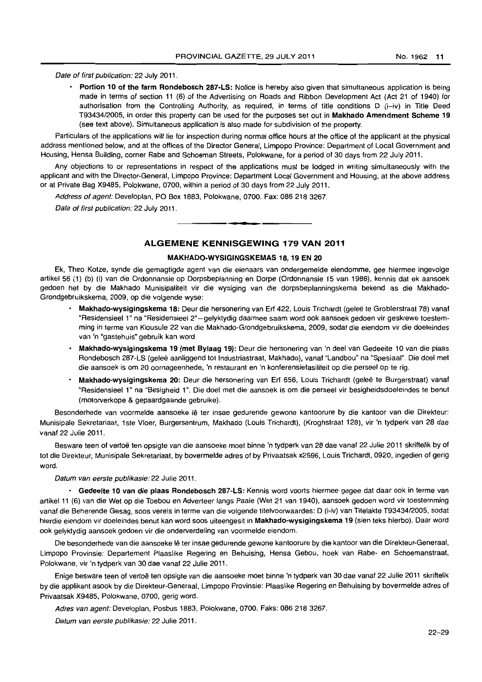Date of first publication: 22 July 2011.

• Portion 10 of the farm Rondebosch 287-LS: Notice is hereby also given that simultaneous application is being made in terms of section 11 (6) of the Advertising on Roads and Ribbon Development Act (Act 21 of 1940) for authorisation from the Controlling Authority, as required, in terms of title conditions D (i-iv) in Title Deed T93434/2005, in order this property can be used for the purposes set out in Makhado Amendment Scheme 19 (see text above). Simultaneous application is also made for subdivision of the property.

Particulars of the applications will lie for inspection during normal office hours at the office of the applicant at the physical address mentioned below, and at the offices of the Director General, Limpopo Province: Department of Local Government and Housing, Hensa Building, corner Rabe and Schoeman Streets, Polokwane, for a period of 30 days from 22 July 2011.

Any objections to or representations in respect of the applications must be lodged in writing simultaneously with the applicant and with the Director-General, Limpopo Province: Department Local Government and Housing, at the above address or at Private Bag X9485, Polokwane, 0700, within a period of 30 days from 22 July 2011.

Address of agent: Developlan, PO Box 1883, Polokwane, 0700. Fax: 086 218 3267.

Date of first publication: 22 July 2011.

# **ALGEMENE KENNISGEWING** 179 **VAN** 2011

. **- .** 

#### MAKHADO-WYSIGINGSKEMAS 18, 19 EN 20

Ek, Theo Kotze, synde die gemagtigde agent van die eienaars van ondergemelde eiendomme, gee hiermee ingevolge artikel 56 (1) (b) (i) van die Ordonnansie op Dorpsbeplanning en Dorpe (Ordonnansie 15 van 1986), kennis dat ek aansoek gedoen het by die Makhado Munisipaliteit vir die wysiging van die dorpsbeplanningskema bekend as die Makhado-Grondgebruikskema, 2009, op die volgende wyse:

- Makhado-wysigingskema 18: Deur die hersonering van Erf 422, Louis Trichardt (geleë te Groblerstraat 78) vanaf "Residensieel 1" na "Residensieel 2" -gelyktydig daarmee saam word ook aansoek gedoen vir geskrewe toestemming in terme van Klousule 22 van die Makhado-Grondgebruikskema, 2009, sodat die eiendom vir die doeleindes van 'n "gastehuis" gebruik kan word
- Makhado-wysigingskema 19 (met Bylaag 19): Deur die hersonering van 'n deel van Gedeelte 10 van die plaas Rondebosch 287-LS (geleë aanliggend tot Industriastraat, Makhado), vanaf "Landbou" na "Spesiaal". Die doel met die aansoek is om 20 oornageenhede, 'n restaurant en 'n konferensiefasiliteit op die perseel op te rig.
- Makhado-wysigingskema 20: Deur die hersonering van Erf 656, Louis Trichardt (geleë te Burgerstraat) vanaf "Residensieel 1" na "Besigheid 1". Die doel met die aansoek is om die perseel vir besigheidsdoeleindes te benut (motorverkope & gepaardgaande gebruike).

Besonderhede van voormelde aansoeke Iê ter insae gedurende gewone kantoorure by die kantoor van die Direkteur: Munisipale Sekretariaat, 1ste Vloer, Burgersentrum, Makhado (Louis Trichardt), (Kroghstraat 128), vir 'n tydperk van 28 dae vanaf 22 Julie 2011.

Besware teen of vertoë ten opsigte van die aansoeke moet binne 'n tydperk van 28 dae vanaf 22 Julie 2011 skriftelik by of tot die Direkteur, Munisipale Sekretariaat, by bovermelde adres of by Privaatsak x2596, Louis Trichardt, 0920, ingedien of gerig word.

Datum van eerste publikasie: 22 Julie 2011.

• Gedeelte 10 van die plaas Rondebosch 287-LS: Kennis word voorts hiermee gegee dat daar ook in terme van artikel 11 (6) van die Wet op die Toebou en Adverteer langs Paaie (Wet 21 van 1940), aansoek gedoen word vir toestemming vanaf die Beherende Gesag, soos vereis in terme van die volgende titelvoorwaardes: D (i-iv) van Titelakte T93434/2005, sodat hierdie eiendom vir doeleindes benut kan word soos uiteengesit in Makhado-wysigingskema 19 (sien leks hierbo). Daar word ook gelyktydig aansoek gedoen vir die onderverdeling van voormelde eiendom.

Die besonderhede van die aansoeke lê ter insae gedurende gewone kantoorure by die kantoor van die Direkteur-Generaal, Limpopo Provinsie: Departement Plaaslike Regering en Behuising, Hensa Gebou, hoek van Rabe- en Schoemanstraat, Polokwane, vir 'n tydperk van 30 dae vanaf 22 Julie 2011.

Enige besware teen of vertoe ten opsigte van die aansoeke moet binne 'n tydperk van 30 dae vanaf 22 Julie 2011 skriftelik by die applikant asook by die Direkteur-Generaal, Limpopo Provinsie: Plaaslike Regering en Behuising by bovermelde adres of Privaatsak X9485, Polokwane, 0700, gerig word.

Adres van agent: Developlan, Posbus 1883, Polokwane, 0700. Faks: 086 218 3267.

Datum van eerste publikasie: 22 Julie 2011.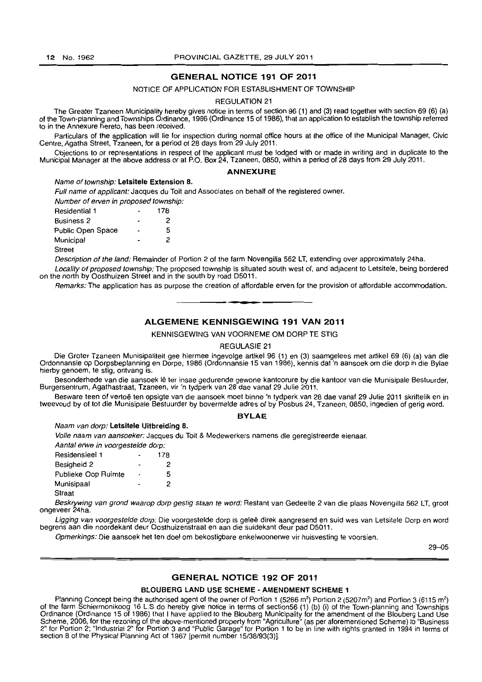# **GENERAL NOTICE 191 OF 2011**

#### NOTICE OF APPLICATION FOR ESTABLISHMENT OF TOWNSHIP

#### REGULATION 21

The Greater Tzaneen Municipality hereby gives notice in terms of section 96 (1) and (3) read together with section 69 (6) (a) of the Town-planning and Townships Ordinance, 1986 (Ordinance 15 of 1986), that an application to establish the township referred to in the Annexure hereto, has been received.

Particulars of the application will lie for inspection during normal office hours at the office of the Municipal Manager, Civic Centre, Agatha Street, Tzaneen, for a period of 28 days from 29 July 2011.

Objections to or representations in respect of the applicant must be lodged with or made in writing and in duplicate to the Municipal Manager at the above address or at P.O. Box 24, Tzaneen, 0850, within a period of 28 days from 29 July 2011.

#### **ANNEXURE**

#### Name of township: Letsitele Extension 8.

Full name of applicant: Jacques du Toit and Associates on behalf of the registered owner. Number of erven in proposed township:

| <b>Residential 1</b> | 178 |
|----------------------|-----|
| <b>Business 2</b>    | 2   |
| Public Open Space    | 5   |
| Municipal            | 2   |
| <b>Street</b>        |     |

Description of the land: Remainder of Portion 2 of the farm Novengilla 562 LT, extending over approximately 24ha.

Locality of proposed township: The proposed township is situated south west of, and adjacent to Letsitele, being bordered on the north by Oosthuizen Street and in the south by road D5011.

Remarks: The application has as purpose the creation of affordable erven for the provision of affordable accommodation.

**• •** 

## **ALGEMENE KENNISGEWING 191 VAN 2011**

KENNISGEWING VAN VOORNEME OM DORP TE STIG

#### REGULASIE 21

Die Groter Tzaneen Munisipaliteit gee hiermee ingevolge artikel 96 (1) en (3) saamgelees met artikel 69 (6) (a) van die Ordonnansie op Dorpsbeplanning en Dorpe, 1986 (Ordonnansie 15 van 1986), kennis dat 'n aansoek am die dorp in die Bylae hierby genoem, te stig. ontvang is.

Besonderhede van die aansoek Ie ter insae gedurende gewone kantoorure by die kantoor van die Munisipale Bestuurder, Burgersentrum, Agathastraat, Tzaneen, vir 'n tydperk van 28 dae vanaf 29 Julie 2011.

Besware teen of vertoe ten opsigte van die aansoek moet binne 'n tydperk van 28 dae vanaf 29 Julie 2011 skriftelik en in tweevoud by of tot die Munisipale Bestuurder by bovermelde adres of by Posbus 24, Tzaneen, 0850, ingedien of gerig word.

#### **BYLAE**

#### Naam van dorp: Letsitele Uitbreiding a.

Volle naam van aansoeker: Jacques du Toit & Medewerkers namens die geregistreerde eienaar.

| Aantal erwe in voorgestelde dorp: |                          |     |
|-----------------------------------|--------------------------|-----|
| <b>Residensieel 1</b>             |                          | 178 |
| Besigheid 2                       | $\overline{\phantom{0}}$ | 2   |
| Publieke Oop Ruimte               | $\blacksquare$           | 5   |
| Munisipaal                        |                          | 2   |

Straat

Beskrywing van grond waarop dorp gestig staan te word: Restant van Gedeelte 2 van die plaas Novengilla 562 LT, groot ongeveer 24ha.

Ligging van voorgestelde dorp: Die voorgestelde dorp is geleë direk aangresend en suid wes van Letsitele Dorp en word begrens aan die noordekant deur Oosthuizenstraat en aan die suidekant deur pad D5011.

Opmerkings: Die aansoek het ten doel om bekostigbare enkelwoonerwe vir huisvesting te voorsien.

29-05

#### **GENERAL NOTICE** 192 **OF 2011**

## BLOUBERG LAND USE SCHEME - AMENDMENT SCHEME 1

Planning Concept being the authorised agent of the owner of Portion 1 (5266 m<sup>2</sup>) Portion 2 (5207m<sup>2</sup>) and Portion 3 (6115 m<sup>2</sup>) of the farm Schiermonikoog 16 L.S do hereby give notice in terms of section56 (1) {b} (i) of the Town-planning and Townships Ordinance (Ordinance 15 of 1986) that I have applied to the Blouberg Municipality for the amendment of the Blouberg Land Use Scheme, 2006, for the rezoning of the above-mentioned property from "Agriculture" (as per aforementioned Scheme) to "Business 2" for Portion 2; "Industrial 2" for Portion 3 and "Public Garage" for Portion 1 to be in line with rights granted in 1994 in terms of section 8 of the Physical Planning Act of 1967 [permit number 15/38/93(3)).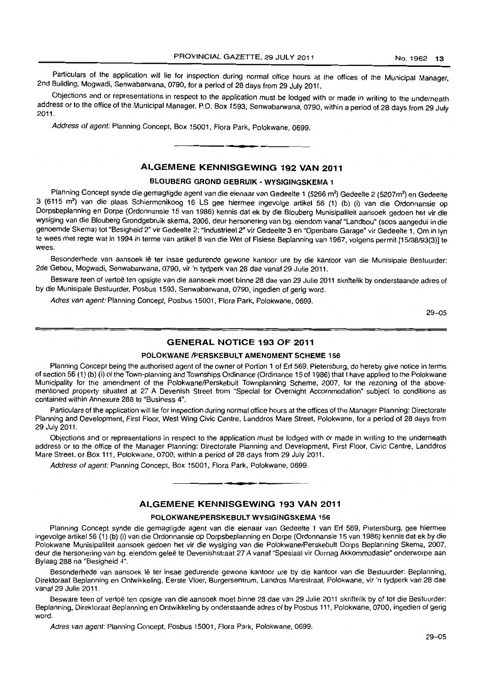Particulars of the application will lie for inspection during normal office hours at the offices of the Municipal Manager, 2nd BUilding, Mogwadl, Senwabarwana, 0790, for a period of 28 days from 29 July 2011.

Objections and or representations in respect to the application must be lodged with or made in writing to the underneath address or to the office of the Municipal Manager, P.O. Box 1593, Senwabarwana, 0790, within a period of 28 days from 29 July 2011.

Address of agent: Planning Concept, Box 15001, Flora Park, Polokwane, 0699.

## **ALGEMENE KENNISGEWING 192 VAN 2011**

• **• •** 

## **BLOUBERG GROND GEBRUIK - WYSIGINGSKEMA 1**

Planning Concept synde die gemagtigde agent van die eienaar van Gedeelte 1 (5266 m<sup>2</sup>) Gedeelte 2 (5207m<sup>2</sup>) en Gedeelte 3 (6115 m2) van die plaas Schiermonikoog 16 LS gee hiermee ingevolge artikel 56 (1) (b) (i) van die Ordonnansie op Dorpsbeplanning en Dorpe (Ordonnansie 15 van 1986) kennis dal ek by die Blouberg Munisipalileit aansoek gedoen het vir die wysiging van die Blouberg Grondgebruik skema, 2006, deur hersonering van bg. eiendom vanaf "Landbou" (soos aangedui in die genoemde Skema) lot "Besigheid 2" vir Gedeelte 2; "IndustrieeI2" vir Gedeelte 3 en "Openbare Garage" vir Gedeelte 1. Om in Iyn te wees met regte wat in 1994 in terme van artikel 8 van die Wet of Fisiese Beplanning van 1967, volgens permit [15/38/93(3)] te wees.

Besonderhede van aansoek lê ter insae gedurende gewone kantoor ure by die kantoor van die Munisipale Bestuurder: 2de Gebou, Mogwadi, Senwabarwana, 0790, vir 'n tydperk van 28 dae vanaf 29 Julie 2011.

Besware teen of vertoe ten opsigte van die aansoek moet binne 28 dae van 29 Julie 2011 skriftelik by onderstaande adres of by die Munisipale Bestuurder, Posbus 1593, Senwabarwana, 0790, ingedien of gerig word.

Adres van agent: Planning Concept, Posbus 15001, Flora Park, Polokwane, 0699.

29-05

# **GENERAL NOTICE 193 OF 2011**

#### **POLOKWANE /PERSKEBULT AMENDMENT SCHEME 156**

Planning Concept being the authorised agent of the owner of Portion 1 of Erf 569, Pietersburg, do hereby give notice in terms of section 56 (1) (b) (i) of the Town-planning and Townships Ordinance (Ordinance 15 of 1986) that I have applied to the Polokwane Municipality for the amendment of the Polokwane/Perskebult Townplanning Scheme, 2007, for the rezoning of the abovementioned property situated at 27 A Devenish Street from "Special for Overnight Accommodation" subject to conditions as contained within Annexure 288 to "Business 4".

Particulars of the application will lie for inspection during normal office hours at the offices of the Manager Planning: Directorate Planning and Development, First Floor, West Wing Civic Centre, Landdros Mare Street, Polokwane, for a period of 28 days from 29 July 2011.

Objections and or representations in respect to the application must be lodged with or made in writing to the underneath address or to the office of the Manager Planning: Directorate Planning and Development, First Floor, Civic Centre, Landdros Mare Street, or Box 111, Polokwane, 0700, within a period of 28 days from 29 July 2011.

Address of agent: Planning Concept, Box 15001, Flora Park, Polokwane, 0699.

## **ALGEMENE KENNISGEWING 193 VAN 2011**

• **- I** 

#### **POLOKWANEIPERSKEBULT WYSIGINGSKEMA** 156

Planning Concept synde die gemagtigde agent van die eienaar van Gedeelte 1 van Erf 569, Pietersburg, gee hiermee ingevolge artikel 56 (1) (b) (i) van die Ordonnansie op Dorpsbeplanning en Dorpe (Ordonnansie 15 van 1986) kennis dat ek by die Polokwane Munisipaliteit aansoek gedoen het vir die wysiging van die Polokwane/Perskebult Dorps Beplanning Skema, 2007, deur die hersonering van bg. eiendom geleë te Devenishstraat 27 A vanaf "Spesiaal vir Oornag Akkommodasie" onderworpe aan Bylaag 288 na "Besigheid 4".

Besonderhede van aansoek lê ter insae gedurende gewone kantoor ure by die kantoor van die Bestuurder: Beplanning, Direktoraat Beplanning en Onlwikkeling. Eerste Vloer, Burgersentrum, Landros Marestraat, Polokwane, vir 'n tydperk van 28 dae vanaf 29 Julie 2011.

Besware teen of vertoë ten opsigte van die aansoek moet binne 28 dae van 29 Julie 2011 skriftelik by of tot die Bestuurder: Beplanning, Direktoraat Beplanning en Ontwikkeling by onderstaande adres of by Posbus 111, Polokwane, 0700, ingedien of gerig word.

Adres van agent: Planning Concept, Posbus 15001, Flora Park, Polokwane, 0699.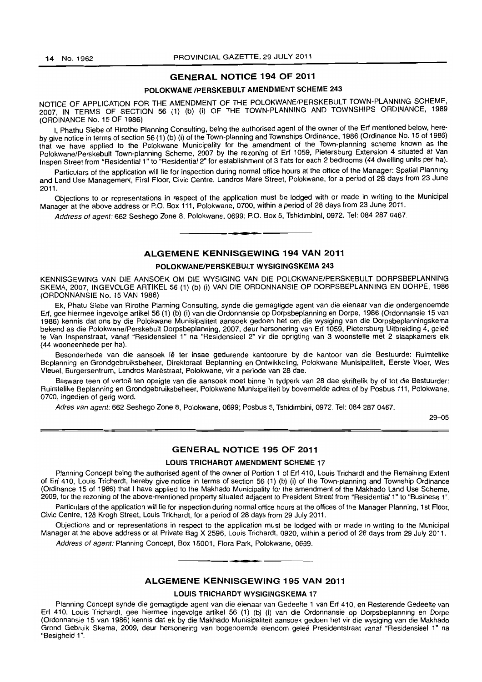## GENERAL NOTICE 194 OF 2011

#### POLOKWANE /PERSKEBULT AMENDMENT SCHEME 243

NOTICE OF APPLICATION FOR THE AMENDMENT OF THE POLOKWANE/PERSKEBULT TOWN-PLANNING SCHEME, 2007, IN TERMS OF SECTION 56 (1) (b) (i) OF THE TOWN-PLANNING AND TOWNSHIPS ORDINANCE, 1989 (ORDINANCE No. 15 OF 1986)

I, Phathu Siebe of Rirothe Planning Consulting, being the authorised agent of the owner of the Erf mentioned below, hereby give notice in terms of section 56 (1) (b) (i) of the Town-planning and Townships Ordinance, 1986 (Ordinance No. 15 of 1986) that we have applied to the Polokwane Municipality for the amendment of the Town-planning scheme known as the Polokwane/Perskebult Town-planning Scheme, 2007 by the rezoning of Erf 1059, Pietersburg Extension 4 situated at Van Inspen Street from "Residential 1" to "Residential 2" for establishment of 3 flats for each 2 bedrooms (44 dwelling units per ha).

Particulars of the application will lie for inspection during normal office hours at the office of the Manager: Spatial Planning and Land Use Management, First Floor, Civic Centre, Landros Mare Street, Polokwane, for a period of 28 days from 23 June 2011.

Objections to or representations in respect of the application must be lodged with or made in writing to the Municipal Manager at the above address or P.O. Box 111, Polokwane, 0700, within a period of 28 days from 23 June 2011.

Address of agent: 662 Seshego Zone 8, Polokwane, 0699; P.O. Box 5, Tshidimbini, 0972. Tel: 084 287 0467. **. -**

# ALGEMENE KENNISGEWING 194 VAN 2011

#### POLOKWANE/PERSKEBULT WYSIGINGSKEMA 243

KENNISGEWING VAN DIE AANSOEK OM DIE WYSIGING VAN DIE POLOKWANE/PERSKEBULT DORPSBEPLANNING SKEMA, 2007, INGEVOLGE ARTIKEL 56 (1) (b) (i) VAN DIE ORDONNANSIE OP DORPSBEPLANNING EN DORPE, 1986 (ORDONNANSIE No. 15 VAN 1986)

Ek, Phatu Siebe van Rirothe Planning Consulting, synde die gemagtigde agent van die eienaar van die ondergenoemde Erf, gee hiermee ingevolge artikel 56 (1) (b) (i) van die Ordonnansie op Dorpsbeplanning en Dorpe, 1986 (Ordonnansie 15 van 1986) kennis dat ons by die Polokwane Munisipaliteit aansoek gedoen het om die wysiging van die Dorpsbeplanningskema bekend as die Polokwane/Perskebull Dorpsbeplanning, 2007, deur hersonering van Erf 1059, Pietersburg Uitbreiding 4, gelee te Van Inspenslraat, vanaf "Residensieel 1" na "Residensieel 2" vir die oprigting van 3 woonstelle met 2 slaapkamers elk (44 wooneenhede per hal.

Besonderhede van die aansoek lê ter insae gedurende kantoorure by die kantoor van die Bestuurde: Ruimtelike Beplanning en Grondgebruiksbeheer, Direktoraat Beplanning en Ontwikkeling, Polokwane Munisipaliteit, Eerste Vloer, Wes Vleuel, Burgersentrum, Landros Marestraat, Polokwane, vir a periode van 28 dae.

Besware teen of vertoë ten opsigte van die aansoek moet binne 'n tydperk van 28 dae skriftelik by of tot die Bestuurder: Ruimtelike Beplanning en Grondgebruiksbeheer, Polokwane Munisipaliteit by bovermelde adres of by Posbus 111, Polokwane, 0700, ingedien of gerig word.

Adres van agent: 662 Seshego Zone 8, Polokwane, 0699; Posbus 5, Tshidimbini, 0972. Tel: 084 287 0467.

29-05

## GENERAL NOTICE 195 OF 2011

#### LOUIS TRICHARDT AMENDMENT SCHEME 17

Planning Concept being the authorised agent of the owner of Portion 1 of Erf 410, Louis Trichardt and the Remaining Extent of Erf 410, Louis Trichardt, hereby give notice in terms of section 56 (1) (b) (i) of the Town-planning and Township Ordinance (Ordinance 15 of 1986) that I have applied to the Makhado Municipality for the amendment of the Makhado Land Use Scheme, 2009, for the rezoning of the above-mentioned property situated adjacent to President Street from "Residential 1 " to "Business 1".

Particulars of the application will lie for inspection during normal office hours at the offices of the Manager Planning, 1st Floor, Civic Centre, 128 Krogh Street, Louis Trichardt, for a period of 28 days from 29 July 2011.

Objections and or representations in respect to the application must be lodged with or made in writing to the Municipal Manager at the above address or at Private Bag X 2596, Louis Trichardt, 0920, within a period of 28 days from 29 July 2011.

Address of agent: Planning Concept, Box 15001, Flora Park, Polokwane, 0699.

## ALGEMENE KENNISGEWING 195 VAN 2011

**• •** 

#### LOUIS TRICHARDT WYSIGINGSKEMA 17

Planning Concept synde die gemagtigde agent van die eienaar van Gedeelte 1 van Erf 410, en Resterende Gedeelte van Erf 410, Louis Trichardt. gee hiermee ingevofge artikel 56 (1) (b) (i) van die Ordonnansie op Dorpsbeplanning en Dorpe (Ordonnansie 15 van 1986) kennis dat ek by die Makhado Munisipaliteit aansoek gedoen het vir die wysiging van die Makhado Grond Gebruik Skema, 2009, deur hersonering van bogenoemde eiendom gelee Presidentstraat vanaf "Residensieel 1" na "Besigheid 1".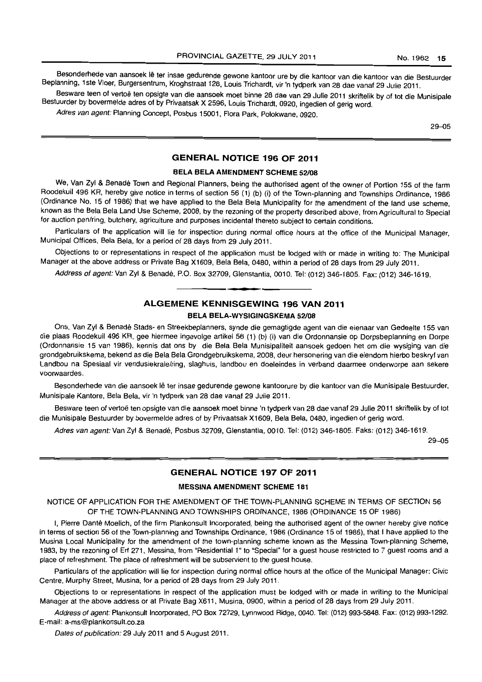Besonderhede van aansoek lê ter insae gedurende gewone kantoor ure by die kantoor van die kantoor van die Bestuurder Beplanmng. 1ste Vloer. Burgersentrum, Kroghstraat 128, Louis Trichardt. vir'n tydperk van 28 dae vanaf 29 Julie 2011.

Besware teen of vertoë ten opsigte van die aansoek moet binne 28 dae van 29 Julie 2011 skriftelik by of tot die Munisipale Bestuurder by bovermelde adres of by Privaatsak X 2596. Louis Trichardt. 0920, ingedien of gerig word.

Adres van agent: Planning Concept, Posbus 15001, Flora Park, Polokwane, 0920.

29-05

# **GENERAL NOTICE 196 OF 2011**

#### **BELA BELA AMENDMENT SCHEME 52/08**

We, Van Zyl & Benadé Town and Regional Planners, being the authorised agent of the owner of Portion 155 of the farm Roodekuil 496 KR, hereby give notice in terms of section 56 (1) (b) (i) of the Town-planning and Townships Ordinance, 1986 (Ordinance No. 15 of 1986) that we have applied to the Bela Bela Municipality for the amendment of the land use scheme, known as the Bela Bela Land Use Scheme, 2008. by the rezoning of the property described above, from Agricultural to Special for auction pen/ring. butchery, agriculture and purposes incidental thereto subject to certain conditions.

Particulars of the application will lie for inspection during normal office hours at the office of the Municipal Manager, Municipal Offices. Bela Bela, for a period of 28 days from 29 July 2011.

Objections to or representations in respect of the application must be lodged with or made in writing to: The Municipal Manager at the above address or Private Bag X1609. Bela Bela. 0480. within a period of 28 days from 29 July 2011.

Address of agent: Van Zyl & Benadé, P.O. Box 32709, Glenstantia, 0010. Tel: (012) 346-1805. Fax: (012) 346-1619.

# **ALGEMENE KENNISGEWING 196 VAN 2011 BELA BELA-WYSIGINGSKEMA 52/08**

**• •** 

Ons, Van Zyl & Benadé Stads- en Streekbeplanners, synde die gemagtigde agent van die eienaar van Gedeelte 155 van die plaas Roodekuil 496 KR, gee hiermee ingevolge artikel 56 (1) (b) (i) van die Ordonnansie op Dorpsbeplanning en Dorpe (Ordonnansie 15 van 1986), kennis dat ons by die Bela Bela Munisipaliteit aansoek gedoen het om die wysiging van die grondgebruikskema. bekend as die Bela Bela Grondgebruikskema. 2008, deur hersonering van die eiendom hierbo beskryf van Landbou na Spesiaal vir vendusiekrale/ring, slaghuis, landbou en doeleindes in verband daarmee onderworpe aan sekere voorwaardes.

Besonderhede van die aansoek lê ter insae gedurende gewone kantoorure by die kantoor van die Munisipale Bestuurder, Munisipale Kantore, Bela Bela. vir 'n tydperk van 28 dae vanaf 29 Julie 2011.

Besware teen of vertoë ten opsigte van die aansoek moet binne 'n tydperk van 28 dae vanaf 29 Julie 2011 skriftelik by of tot die Munisipale Bestuurder by bovermelde adres of by Privaatsak X1609, Bela Bela, 0480, ingedien of gerig word.

Adres van agent: Van Zyl & Benadé, Posbus 32709, Glenstantia, 0010. Tel: (012) 346-1805. Faks: (012) 346-1619.

29-05

## **GENERAL NOTICE 197 OF 2011**

#### **MESSINA AMENDMENT SCHEME 181**

NOTICE OF APPLICATION FOR THE AMENDMENT OF THE TOWN-PLANNING SCHEME IN TERMS OF SECTION 56 OF THE TOWN-PLANNING AND TOWNSHIPS ORDINANCE, 1986 (ORDINANCE 15 OF 1986)

I. Pierre Danté Moelich, of the firm Plankonsult Incorporated, being the authorised agent of the owner hereby give notice in terms of section 56 of the Town-planning and Townships Ordinance. 1986 (Ordinance 15 of 1986), that I have applied to the Musina Local Municipality for the amendment of the town-planning scheme known as the Messina Town-planning Scheme. 1983, by the rezoning of Erf 271. Messina. from "Residential 1" to "Special" for a guest house restricted to 7 guest rooms and a place of refreshment. The place of refreshment will be subservient to the guest house.

Particulars of the application will lie for inspection during normal office hours at the office of the Municipal Manager: Civic Centre. Murphy Street. Musina. for a period of 28 days from 29 July 2011.

Objections to or representations in respect of the application must be lodged with or made in writing to the Municipal Manager at the above address or at Private Bag X611, Musina. 0900. within a period of 28 days from 29 July 2011.

Address of agent: Plankonsult Incorporated, PO Box 72729. Lynnwood Ridge, 0040. Tel: (012) 993-5848. Fax: (012) 993-1292. E-mail: a-ms@plankonsult.co.za

Dates of publication: 29 July 2011 and 5 August 2011.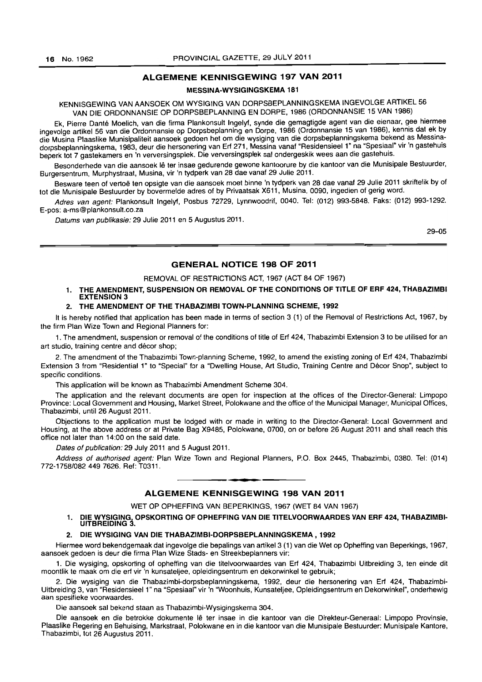# ALGEMENE KENNISGEWING 197 VAN 2011

## MESSINA-WYSIGINGSKEMA 181

KENNISGEWING VAN AANSOEK OM WYSIGING VAN DORPSBEPLANNINGSKEMA INGEVOLGE ARTIKEL 56 VAN DIE ORDONNANSIE OP DORPSBEPLANNING EN DORPE, 1986 (ORDONNANSIE 15 VAN 1986)

Ek, Pierre Danté Moelich, van die firma Plankonsult Ingelyf, synde die gemagtigde agent van die eienaar, gee hiermee ingevolge artikel 56 van die Ordonnansie op Dorpsbeplanning en Dorpe, 1986 (Ordonnansie 15 van 1986), kennis dat ek by die Musina Plaaslike Munisipaliteit aansoek gedoen het om die wysiging van die dorpsbeplanningskema bekend as Messinadorpsbeplanningskema, 1983, deur die hersonering van Erf 271, Messina vanaf "Residensieel 1" na "Spesiaal" vir 'n gastehuis beperk tot 7 gastekamers en 'n verversingsplek. Die verversingsplek sal ondergeskik wees aan die gastehuis.

Besonderhede van die aansoek lê ter insae gedurende gewone kantoorure by die kantoor van die Munisipale Bestuurder, Burgersentrum, Murphystraat, Musina, vir 'n tydperk van 28 dae vanaf 29 Julie 2011.

Besware teen of vertoë ten opsigte van die aansoek moet binne 'n tydperk van 28 dae vanaf 29 Julie 2011 skriftelik by of tot die Munisipale Bestuurder by bovermelde adres of by Privaatsak X611, Musina, 0090, ingedien of gerig word.

Adres van agent: Plankonsult Ingelyf, Posbus 72729, Lynnwoodrif, 0040. Tel: (012) 993-5848. Faks: (012) 993-1292. E-pos: a-ms@plankonsult.co.za

Datums van publikasie: 29 Julie 2011 en 5 Augustus 2011.

29-05

## GENERAL NOTICE 198 OF 2011

#### REMOVAL OF RESTRICTIONS ACT, 1967 (ACT 84 OF 1967)

## 1. THE AMENDMENT, SUSPENSION OR REMOVAL OF THE CONDITIONS OF TITLE OF ERF 424, THABAZIMBI EXTENSION 3

#### 2. THE AMENDMENT OF THE THABAZIMBI TOWN-PLANNING SCHEME, 1992

It is hereby notified that application has been made in terms of section 3 (1) of the Removal of Restrictions Act, 1967, by the firm Plan Wize Town and Regional Planners for:

1. The amendment, suspension or removal of the conditions of title of Erf 424, Thabazimbi Extension 3 to be utilised for an art studio, training centre and décor shop;

2, The amendment of the Thabazimbi Town-planning Scheme, 1992, to amend the existing zoning of Erf 424, Thabazimbi Extension 3 from "Residential 1" to "Special" for a "Dwelling House, Art Studio, Training Centre and Decor Shop", subject to specific conditions.

This application will be known as Thabazimbi Amendment Scheme 304.

The application and the relevant documents are open for inspection at the offices of the Director-General: Limpopo Province: Local Government and Housing, Market Street, Polokwane and the office of the Municipal Manager, Municipal Offices, Thabazimbi, until 26 August 2011.

Objections to the application must be lodged with or made in writing to the Director-General: Local Government and Housing, at the above address or at Private Bag X9485, Polokwane, 0700, on or before 26 August 2011 and shall reach this office not later than 14:00 on the said date.

Dates of publication: 29 July 2011 and 5 August 2011.

Address of authorised agent: Plan Wize Town and Regional Planners, P.O. Box 2445, Thabazimbi, 0380. Tel: (014) 772-1758/0824497626. Ref: T0311. . **- .** 

### ALGEMENE KENNISGEWING 198 VAN 2011

WET OP OPHEFFING VAN BEPERKINGS, 1967 (WET 84 VAN 1967)

# 1. DIE WYSIGING, OPSKORTING OF OPHEFFING VAN DIE TITELVOORWAARDES VAN ERF 424, THABAZIMBI-<br>UITBREIDING 3.

#### 2. DIE WYSIGING VAN DIE THABAZIMBI-DORPSBEPLANN1NGSKEMA, 1992

Hiermee word bekendgemaak dal ingevolge die bepalings van artikel3 (1) van die Wet op Opheffing van Beperkings, 1967. aansoek gedoen is deur die firma Plan Wize Stads- en Streekbeplanners vir:

1. Die wysiging, opskorting of opheffing van die titelvoorwaardes van Erf 424. Thabazimbi Uitbreiding 3, ten einde dit moontlik Ie maak om die erf vir 'n kunsateljee, opleidingsentrum en dekorwinkel te gebruik;

2. Die wysiging van die Thabazimbi-dorpsbeplanningskema. 1992. deur die hersonering van Erf 424, Thabazimbi-Uitbreiding 3, van "Residensieel 1" na "Spesiaal" vir 'n "Woonhuis, Kunsateljee, Opleidingsentrum en Dekorwinkel", onderhewig aan spesifieke voorwaardes.

Die aansoek sal bekend staan as Thabazimbi-Wysigingskema 304.

Die aansoek en die betrokke dokumente lê ter insae in die kantoor van die Direkteur-Generaal: Limpopo Provinsie, Plaaslike Regering en Behuising, Markstraat, Polokwane en in die kantoor van die Munisipale Bestuurder: Munisipale Kantore, Thabazimbi, tot 26 Augustus 2011.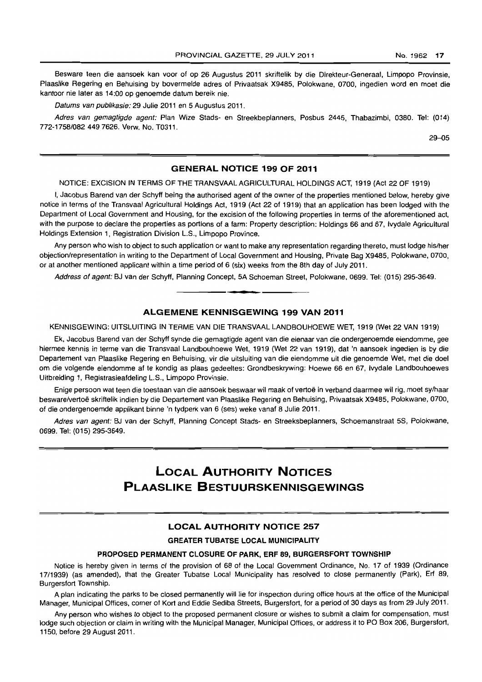Besware teen die aansoek kan voor of op 26 Augustus 2011 skriftelik by die Direkteur-Generaal, Limpopo Provinsie, Plaaslike Regering en Behuising by bovermelde adres of Privaatsak X9485, Polokwane, 0700, ingedien word en moet die kantoor nie later as 14:00 op genoemde datum bereik nie.

Datums van publikasie: 29 Julie 2011 en 5 Augustus 2011.

Adres van gemagtigde agent: Plan Wize Stads- en Streekbeplanners, Posbus 2445, Thabazimbi, 0380. Tel: (014) 772-1758/0824497626. Verw. No. T0311.

29-05

# **GENERAL NOTICE 199 OF 2011**

NOTICE: EXCISION IN TERMS OF THE TRANSVAAL AGRICULTURAL HOLDINGS ACT, 1919 (Act 22 OF 1919)

I, Jacobus Barend van der Schyff being the authorised agent of the owner of the properties mentioned below, hereby give notice in terms of the Transvaal Agricultural Holdings Act, 1919 (Act 22 of 1919) that an application has been lodged with the Department of Local Government and Housing, for the excision of the following properties in terms of the aforementioned act, with the purpose to declare the properties as portions of a farm: Property description: Holdings 66 and 67, Ivydale Agricultural Holdings Extension 1, Registration Division L.S., Limpopo Province.

Any person who wish to object to such application or want to make any representation regarding thereto, must lodge his/her objection/representation in writing to the Department of Local Government and Housing, Private Bag X9485, Polokwane, 0700, or at another mentioned applicant within a time period of 6 (six) weeks from the 8th day of July 2011.

Address of agent: BJ van der Schyff, Planning Concept, 5A Schoeman Street, Polokwane, 0699. Tel: (015) 295-3649.

# **ALGEMENE KENNISGEWING 199 VAN 2011**

**1 •** 

KENNISGEWING: UITSLUITING IN TERME VAN DIE TRANSVAAL LANDBOUHOEWE WET, 1919 (Wet 22 VAN 1919)

Ek, Jacobus Barend van der Schyff synde die gemagtigde agent van die eienaar van die ondergenoemde eiendomme, gee hiermee kennis in terme van die Transvaal Landbouhoewe Wet, 1919 (Wet 22 van 1919), dat 'n aansoek ingedien is by die Departement van Plaaslike Regering en Behuising, vir die uitsluiting van die eiendomme uit die genoemde Wet, met die doel am die volgende eiendomme af te kondig as plaas gedeeltes: Grondbeskrywing: Hoewe 66 en 67, Ivydale Landbouhoewes Uitbreiding 1, Registrasieafdeling L.S., Limpopo Provinsie.

Enige persoon wat teen die toestaan van die aansoek beswaar wil maak of vertoë in verband daarmee wil rig, moet sy/haar besware/vertoe skriftelik indien by die Departement van Plaaslike Regering en Behuising, Privaatsak X9485, Polokwane, 0700, of die ondergenoemde applikant binne 'n tydperk van 6 (ses) weke vanaf 8 Julie 2011.

Adres van agent: BJ van der Schyff, Planning Concept Stads- en Streeksbeplanners, Schoemanstraat 5S, Polokwane, 0699. Tel: (015) 295-3649.

# **LOCAL AUTHORITY NOTICES PLAASLIKE BESTUURSKENNISGEWINGS**

# **LOCAL AUTHORITY NOTICE 257**

#### **GREATER TUBATSE LOCAL MUNICIPALITY**

#### **PROPOSED PERMANENT CLOSURE OF PARK, ERF** 89, **BURGERSFORT TOWNSHIP**

Notice is hereby given in terms of the provision of 68 of the Local Government Ordinance, No. 17 of 1939 (Ordinance 17/1939) (as amended), that the Greater Tubatse Local Municipality has resolved to close permanently (Park), Erf 89, Burgersfort Township.

A plan indicating the parks to be closed permanently will lie for inspection during office hours at the office of the Municipal Manager, Municipal Offices, corner of Kort and Eddie Sediba Streets, Burgersfort, for a period of 30 days as from 29 July 2011.

Any person who wishes to object to the proposed permanent closure or wishes to submit a claim for compensation, must lodge such objection or claim in writing with the Municipal Manager, Municipal Offices, or address it to PO Box 206, Burgersfort, 1150, before 29 August 2011.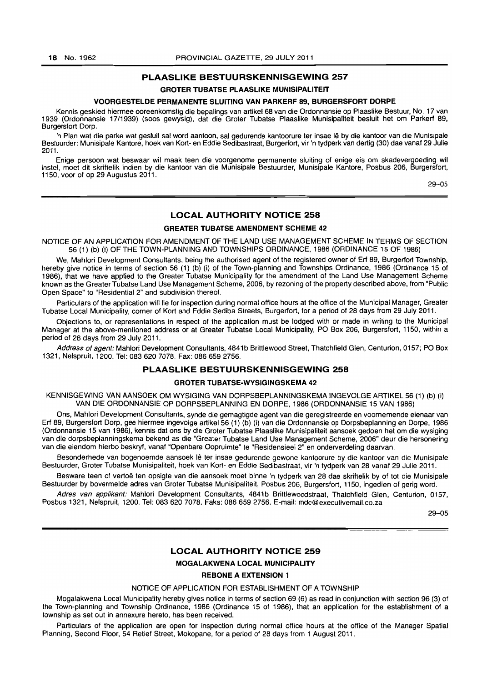## **PLAASLIKE BESTUURSKENNISGEWING 257**

## **GROTER TUBATSE PlAASLIKE MUNISIPALITEIT**

## **VOORGESTElDE PERMANENTE SLUITING VAN PARKERF** 89, **BURGERSFORT DORPE**

Kennis geskied hiermee ooreenkomstig die bepalings van artikel 68 van die Ordonnansie op Plaaslike Bestuur, No. 17 van 1939 (Ordonnansie 17/1939) (soos gewysig), dat die Groter Tubatse Plaaslike Munisipaliteit besluit het om Parkerf 89, Burgersfort Dorp.

'n Plan wat die parke wat gesluit sal word aantoon, sal gedurende kantoorure ter insae lê by die kantoor van die Munisipale Bestuurder: Munisipale Kantore, hoek van Kort- en Eddie Sedibastraat, Burgerfort, vir 'n tydperk van dertig (30) dae vanaf 29 Julie 2011.

Enige persoon wat beswaar wil maak teen die voorgenome permanente sluiting of enige eis om skadevergoeding wi! instel, moet dit skriftelik indien by die kantoor van die Munisipale Bestuurder, Munisipale Kantore, Posbus 206, Burgersfort, 1150, voor of op 29 Augustus 2011.

29-05

#### **LOCAL AUTHORITY NOTICE 258**

## **GREATER TUBATSE AMENDMENT SCHEME 42**

NOTICE OF AN APPLICATION FOR AMENDMENT OF THE LAND USE MANAGEMENT SCHEME IN TERMS OF SECTION 56 (1) (b) (i) OF THE TOWN-PLANNING AND TOWNSHIPS ORDINANCE, 1986 (ORDINANCE 15 OF 1986)

We, Mahlori Development Consultants, being the authorised agent of the registered owner of Erf 89, Burgerfort Township, hereby give notice in terms of section 56 (1) (b) (i) of the Town-planning and Townships Ordinance, 1986 (Ordinance 15 of 1986), that we have applied to the Greater Tubatse Municipality for the amendment of the Land Use Management Scheme known as the Greater Tubatse Land Use Management Scheme, 2006, by rezoning of the property described above, from "Public Open Space" to "Residential 2" and subdivision thereof.

Particulars of the application will lie for inspection during normal office hours at the office of the Municipal Manager, Greater Tubatse Local Municipality, corner of Kort and Eddie Sediba Streets, Burgerfort, for a period of 28 days from 29 July 2011.

Objections to, or representations in respect of the application must be lodged with or made in writing to the Municipal Manager at the above-mentioned address or at Greater Tubatse Local Municipality, PO Box 206, Burgersfort, 1150, within a period of 28 days from 29 July 2011.

Address of agent: Mahlori Development Consultants, 4841b Brittlewood Street, Thatchfield Glen, Centurion, 0157; PO Box 1321, Nelspruit, 1200. Tel: 083 620 7078. Fax: 086 659 2756.

# **PLAASLIKE BESTUURSKENNISGEWING 258**

#### **GROTER TUBATSE·WYSIGINGSKEMA 42**

KENNISGEWING VAN AANSOEK OM WYSIGING VAN DORPSBEPLANNINGSKEMA INGEVOLGE ARTIKEL 56 (1) (b) (i) VAN DIE ORDONNANSIE OP DORPSBEPLANNING EN DORPE, 1986 (ORDONNANSIE 15 VAN 1986)

Ons, Mahlor! Development Consultants, synde die gemagtigde agent van die geregistreerde en voornemende eienaar van Erf 89, Burgersfort Dorp, gee hiermee ingevolge artikel 56 (1) (b) (i) van die Ordonnansie op Dorpsbeplanning en Dorpe, 1986 (Ordonnansie 15 van 1986), kennis dat ons by die Groter Tubatse Plaaslike Munisipaliteit aansoek gedoen het om die wysiging van die dorpsbeplanningskema bekend as die "Greater Tubatse Land Use Management Scheme, 2006" deur die hersonering van die eiendom hierbo beskryf, vanaf "Openbare Oopruimte" te "Residensieel 2" en onderverdeling daarvan.

Besonderhede van bogenoemde aansoek Ie ter insae gedurende gewone kantoorure by die kantoor van die Munisipale Bestuurder, Grater Tubatse Munisipaliteit, hoek van Kort- en Eddie Sedibastraat, vir 'n tydperk van 28 vanaf 29 Julie 2011.

Besware teen of vertoe ten opsigte van die aansoek moet binne 'n tydperk van 28 dae skriftelik by of tot die Munisipale Bestuurder by bovermelde adres van Groter Tubatse Munisipaliteit, Posbus 206, Burgersfort, 1150, ingedien of gerig word.

Adres van applikant: Mahlori Development Consultants, 4841b Brittlewoodstraat, Thatchfield Glen, Centurion, 0157, Posbus 1321, Nelspruit, 1200. Tel: 083 620 7078. Faks: 086 659 2756. E-mail: mdc@executivemail.co.za

29-05

# **LOCAL AUTHORITY NOTICE 259**

# **MOGALAKWENA LOCAL MUNICIPALITY**

# **REBONE A EXTENSION** 1

#### NOTICE OF APPLICATION FOR ESTABLISHMENT OF A TOWNSHIP

Mogalakwena Local Municipality hereby gives notice in terms of section 69 (6) as read in conjunction with section 96 (3) of the Town-planning and Township Ordinance, 1986 (Ordinance 15 of 1986), that an application for the establishment of a township as set out in annexure hereto, has been received.

Particulars of the application are open for inspection during normal office hours at the office of the Manager Spatial Planning, Second Floor, 54 Retief Street, Mokopane, for a period of 28 days from 1 August 2011.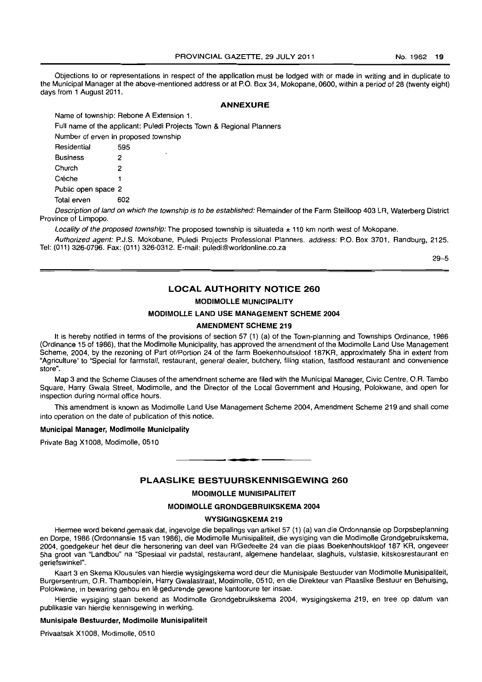Objections to or representations in respect of the application must be lodged with or made in writing and in duplicate to the Municipal Manager at the above-mentioned address or at P.O. Box 34, Mokopane, 0600, within a period of 28 (twenty eight) days from 1 August 2011.

#### **ANNEXURE**

Name of township: Rebone A Extension 1.

Full name of the applicant: Puledi Projects Town & Regional Planners

Number of erven in proposed township

| Residential         | 595 |
|---------------------|-----|
| <b>Business</b>     | 2   |
| Church              | 2   |
| Créche              | 1   |
| Public open space 2 |     |
| Total erven         | 602 |

Description of land on which the township is to be established: Remainder of the Farm Steilloop 403 LR, Waterberg District Province of Limpopo.

Locality of the proposed township: The proposed township is situateda  $\pm$  110 km north west of Mokopane.

Authorized agent: P.J.S. Mokobane, Puledi Projects Professional Planners. address: P.O. Box 3701, Randburg, 2125. Tel: (011) 326-0796. Fax: (011) 326-0312. E-mail: puledi@worldonline.co.za

29-5

# **LOCAL AUTHORITY NOTICE 260**

## **MODIMOLLE MUNICIPALITY**

#### **MODIMOLLE LAND USE MANAGEMENT SCHEME 2004**

## **AMENDMENT SCHEME 219**

It is hereby notified in terms of the provisions of section 57 (1) (a) of the Town-planning and Townships Ordinance, 1986 (Ordinance 15 of 1986), that the Modimolle Municipality, has approved the amendment of the Modimolle Land Use Management Scheme, 2004, by the rezoning of Part of/Portion 24 of the farm Boekenhoutskloof 187KR, approximately 5ha in extent from "Agriculture'to "Special for farmstall, restaurant, general dealer, butchery, filing station, fastfood restaurant and convenience store".

Map 3 and the Scheme Clauses of the amendment scheme are filed with the Municipal Manager, Civic Centre, O.R. Tambo Square, Harry Gwala Street, Modimolle, and the Director of the Local Government and Housing, Polokwane, and open for inspection during normal office hours.

This amendment is known as Modimolle Land Use Management Scheme 2004, Amendment Scheme 219 and shall come into operation on the date of publication of this notice.

#### **Municipal Manager, Modimolle Municipality**

Private Bag X1008, Modimolle, 0510

#### **PLAASLIKE BESTUURSKENNISGEWING 260**

. **-.** 

#### **MODIMOLLE MUNISIPALITEIT**

#### **MODIMOLLE GRONDGEBRUIKSKEMA 2004**

#### **WYSIGINGSKEMA 219**

Hiermee word bekend gemaak dat, ingevolge die bepalings van artikel 57 (1) (a) van die Ordonnansie op Dorpsbeplanning en Dorpe, 1986 (Ordonnansie 15 van 1986), die Modimolle Munisipaliteit, die wysiging van die Modimolle Grondgebruikskema, 2004, goedgekeur het deur die hersonering van deel van R/Gedeelte 24 van die plaas Boekenhoutskloof 187 KR. ongeveer 5ha groot van "Landbou" na "Spesiaal vir padstal, restaurant, algemene handelaar, slaghuis, vulstasie, kitskosrestaurant en geriefswinkel".

Kaart 3 en Skema Klousules van hierdie wysigingskema word deur die Munisipale Bestuuder van Modimolle Munisipaliteit, Burgersentrum, O.R. Thamboplein, Harry Gwalastraat, Modimolle, 0510, en die Direkteur van Plaaslike Bestuur en Behuising. Polokwane, in bewaring gehou en lê gedurende gewone kantoorure ter insae.

Hierdie wysiging staan bekend as Modimolle Grondgebruikskema 2004, wysigingskema 219, en tree op datum van publikasie van hierdie kennisgewing in werking.

#### **Munisipale Bestuurder, Modimolle Munisipaliteit**

Privaatsak X1008, Modimolle, 0510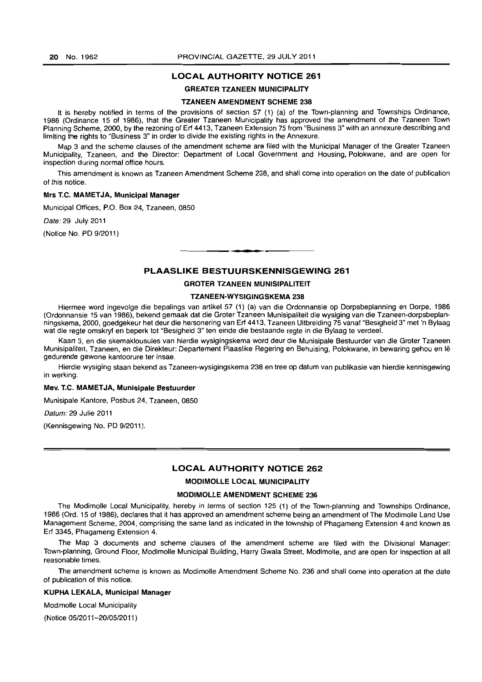## LOCAL AUTHORITY NOTICE 261

## GREATER TZANEEN MUNICIPALITY

#### TZANEEN AMENDMENT SCHEME 238

It is hereby notified in terms of the provisions of section 57 (1) (a) of the Town-planning and Townships Ordinance, 1986 (Ordinance 15 of 1986), that the Greater Tzaneen Municipality has approved the amendment of the Tzaneen Town Planning Scheme, 2000, by the rezoning of Erf 4413, Tzaneen Extension 75 from "Business 3" with an annexure describing and limiting the rights to "Business 3" in order to divide the existing rights in the Annexure.

Map 3 and the scheme clauses of the amendment scheme are filed with the Municipal Manager of the Greater Tzaneen Municipality, Tzaneen, and the Director: Department of Local Government and Housing, Polokwane, and are open for inspection during normal office hours.

This amendment is known as Tzaneen Amendment Scheme 238, and shall come into operation on the date of publication of this notice.

#### Mrs T.C. MAMETJA, Municipal Manager

Municipal Offices. P.O. Box 24, Tzaneen, 0850

Date: 29 July 2011

(Notice No. PD 9/2011)

## PLAASLIKE BESTUURSKENNISGEWING 261

• **- I** 

## GROTER TZANEEN MUNISIPALITEIT

## TZANEEN-WYSIGINGSKEMA 238

Hiermee word ingevolge die bepalings van artikel 57 (1) (a) van die Ordonnansie op Dorpsbeplanning en Dorpe. 1986 (Ordonnansie 15 van 1986), bekend gemaak dat die Groter Tzaneen Munisipaliteit die wysiging van die Tzaneen-dorpsbeplanningskema, 2000, goedgekeur het deur die hersonering van Erf 4413, Tzaneen Uitbreiding 75 vanaf "Besigheid 3" met 'n Bylaag wat die regte omskryt en beperk tot "Besigheid 3" ten einde die bestaande regte in die Bylaag te verdeel.

Kaart 3, en die skemaklousules van hierdie wysigingskema word deur die Munisipale Bestuurder van die Groter Tzaneen Munisipaliteit, Tzaneen, en die Direkteur: Departement Plaaslike Regering en Behuising, Polokwane, in bewaring gehou en Ie gedurende gewone kantoorure ter insae.

Hierdie wysiging staan bekend as Tzaneen-wysigingskema 238 en tree op datum van publikasie van hierdie kennisgewing in werking.

#### Mev. T.C. MAMET JA, Munisipale Bestuurder

Munisipale Kantore, Posbus 24, Tzaneen, 0850

Datum: 29 Julie 2011

(Kennisgewing No. PD 9/2011).

# LOCAL AUTHORITY NOTICE 262

**MODIMOLLE LOCAL MUNICIPALITY** 

#### MODIMOLLE AMENDMENT SCHEME 236

The Modimolle Local Municipality, hereby in terms of section 125 (1) of the Town-planning and Townships Ordinance, 1986 COrd. 15 of 1986), declares that it has approved an amendment scheme being an amendment of The Modimolle Land Use Management Scheme, 2004, comprising the same land as indicated in the township of Phagameng Extension 4 and known as Erf 3345, Phagameng Extension 4.

The Map 3 documents and scheme clauses of the amendment scheme are filed with the Divisional Manager: Town-planning, Ground Floor, Modimolle Municipal Building, Harry Gwala Street, Modimolle, and are open for inspection at all reasonable times.

The amendment scheme is known as Modimolle Amendment Scheme No. 236 and shall come into operation at the date of publication of this notice.

#### KUPHA LEKALA, Municipal Manager

MOdimolle Local Municipality

(Notice 05/2011-20/05/2011 )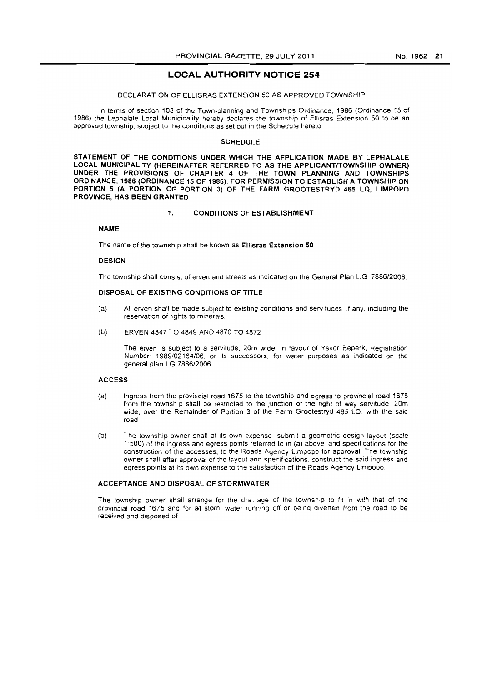# **LOCAL AUTHORITY NOTICE** 254

#### DECLARATION OF ELLISRAS EXTENSION 50 AS APPROVED TOWNSHIP

In terms of section 103 of the Town-planning and Townships Ordinance, 1986 (Ordinance 15 of 1986} the Lephalale Local Municipality hereby declares the township of EI/isras Extension 50 to be an approved township, subject to the conditions as set out in the Schedule hereto.

#### **SCHEDULE**

STATEMENT OF THE CONDITIONS UNDER WHICH THE APPLICATION MAOE BY LEPHALALE LOCAL MUNICIPALITY (HEREINAFTER REFERRED TO AS THE APPLICANTfTOWNSHIP OWNER) UNDER THE PROVISIONS OF CHAPTER 4 OF THE TOWN PLANNING AND TOWNSHIPS ORDINANCE, 1986 (ORDINANCE 15 OF 1986), FOR PERMISSION TO ESTABLISH A TOWNSHIP ON PORTION 5 (A PORTION OF PORTION 3) OF THE FARM GROOTESTRYD 465 LQ, LIMPOPO PROVINCE, HAS BEEN GRANTED

#### 1. CONDITIONS OF ESTABLISHMENT

## NAME

The name of the township shall be known as Ellisras Extension 50.

#### **DESIGN**

The township shall consist of erven and streets as Indicated on the General Plan L.G *7886/2006.* 

## DISPOSAL OF EXISTING CONDITIONS OF TITLE

- (a) All erven shall be made subject to existing conditions and servitudes, if any, including the reservation of rights to minerals.
- (b) ERVEN 4847 TO 4849 AND 4870 TO 4872

The arven is subject to a servitude, 20m wide, In favour of Yskor 8eperk, Registration Number *1989/02164/06,* or its successors, for water purposes as indicated on the general plan LG *7886/2006* 

#### ACCESS

- (a) Ingress from the provincial road 1675 to the township and egress to provincial road 1675 from the township shall be restncted to the junction of the nght of way servitude, 20m wide, over the Remainder of Portion 3 of the Farm Grootestryd 465 LQ, with the said road
- (b) The township owner shall at Its own expense, submit a geometnc design layout (scale 1:500) of the ingress and egress points referred to in (a) above, and specifications for the construction of the accesses, to the Roads Agency Limpopo for approval. The township owner shall after approval of the layout and specifications, construct the said ingress and egress points at its own expense to the satisfaction of the Roads Agency Limpopo.

#### ACCEPTANCE AND DISPOSAL OF STORMWATER

The township owner shall arrange for the drainage of the township to fit in with that of the provincial road 1675 and for all storm water running off or being diverted from the road to be received and disposed of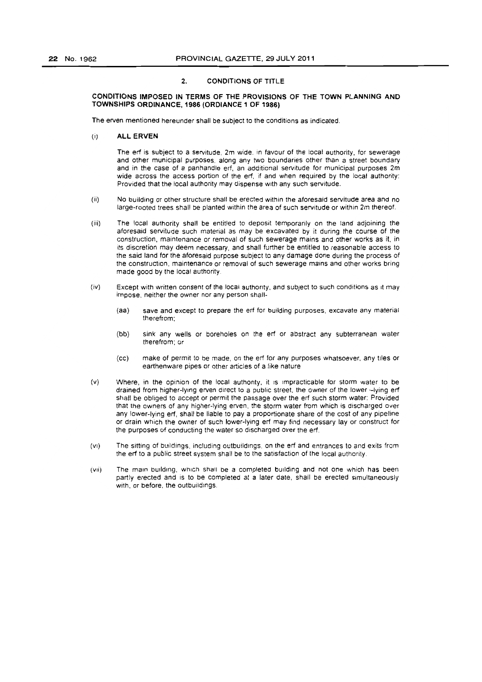## 2. CONDITIONS OF TITLE

#### CONDITIONS IMPOSED IN TERMS OF THE PROVISIONS OF THE TOWN PLANNING AND TOWNSHIPS ORDINANCE, 1986 (ORDIANCE 1 OF 1986)

The erven mentioned hereunder shall be subject to the conditions as indicated.

(i) ALL ERVEN

The erf is subject to a servitude, 2m wide, in favour of the local authority, for sewerage and other municipal purposes. along any two boundaries other than a street boundary and in the case of a panhandle eri, an additional servitude for municipal purposes 2m wide across the access portion of the erf, if and when required by the local authority: Provided that the local authority may dispense With any such servitude,

- (ii) No building or other structure shall be erected within the aforesaid servitude area and no large-rooted trees shall be planted within the area of such servitude or within 2m thereof.
- (iii) The local authority shalt be entitled to deposit temporarily on the land adjoining the aforesaid servitude such matenal as may be excavated by it during the course of the construction, maintenance or removal of such sewerage mains and other works as it, in its discretion may deem necessary, and shall further be entitled to reasonable access to the said land for the aforesaid purpose subject to any damage done during the process of the construction, maintenance or removal of such sewerage mains and other works bring made good by the local authority.
- (iv) Except with written consent of the local authority, and subject to such conditions as it may impose, neither the owner nor any person shall-
	- (aa) save and except to prepare the eri for building purposes, excavate any material therefrom:
	- (bb) sink any wells or boreholes on the erf or abstract any subterranean water therefrom; or
	- (CC) make of permit to be made, on the ert for any purposes whatsoever. any tiles or earthenware pipes or other articles of a like nature
- (v) Where, in the opinion of the local authOrity, it IS Impracticable for storm water to be drained from higher-lying erven direct to a public street, the owner of the lower -lying erf shall be obliged to accept or permit the passage over the eri such storm water: Provided that the owners of any higher-lying erven, the storm water from which is discharged over any lower-lying eri, shall be liable to pay a proportionate share of the cost of any pipeline or drain which the owner of such lower-lying eri may find necessary lay or construct for the purposes of conducting the water so discharged over the eri.
- (VI) The sitting of buildings. including outbuildings. on the sri and entrances to and exits from the erf to a public street system shall be to the satisfaction of the local authority.
- (vii) The main building, which shall be a completed building and not one which has been partly erected and is to be completed at a later date, shall be erected simultaneously With, or before, the outbuildings.